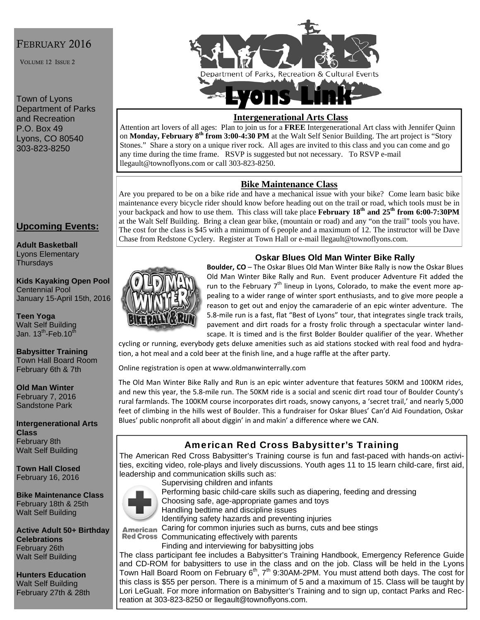## FEBRUARY 2016

VOLUME 12 ISSUE 2

Town of Lyons Department of Parks and Recreation P.O. Box 49 Lyons, CO 80540 303-823-8250



### **Intergenerational Arts Class**

Attention art lovers of all ages: Plan to join us for a **FREE** Intergenerational Art class with Jennifer Quinn on **Monday, February 8th from 3:00-4:30 PM** at the Walt Self Senior Building. The art project is "Story Stones." Share a story on a unique river rock. All ages are invited to this class and you can come and go any time during the time frame. RSVP is suggested but not necessary. To RSVP e-mail llegault@townoflyons.com or call 303-823-8250.

### **Bike Maintenance Class**

Are you prepared to be on a bike ride and have a mechanical issue with your bike? Come learn basic bike maintenance every bicycle rider should know before heading out on the trail or road, which tools must be in your backpack and how to use them. This class will take place **February 18<sup>th</sup> and 25<sup>th</sup> from 6:00-7:30PM** at the Walt Self Building. Bring a clean gear bike, (mountain or road) and any "on the trail" tools you have. The cost for the class is \$45 with a minimum of 6 people and a maximum of 12. The instructor will be Dave Chase from Redstone Cyclery. Register at Town Hall or e-mail llegault@townoflyons.com.

## **Upcoming Events:**

**Adult Basketball**  Lyons Elementary **Thursdays** 

**Kids Kayaking Open Pool**  Centennial Pool January 15-April 15th, 2016

**Teen Yoga**  Walt Self Building Jan.  $13^{th}$ -Feb.10 $^{th}$ 

**Babysitter Training**  Town Hall Board Room February 6th & 7th

**Old Man Winter**  February 7, 2016 Sandstone Park

**Intergenerational Arts Class**  February 8th Walt Self Building

**Town Hall Closed**  February 16, 2016

**Bike Maintenance Class**  February 18th & 25th Walt Self Building

**Active Adult 50+ Birthday Celebrations**  February 26th Walt Self Building

**Hunters Education**  Walt Self Building February 27th & 28th



### **Oskar Blues Old Man Winter Bike Rally**

**Boulder, CO** – The Oskar Blues Old Man Winter Bike Rally is now the Oskar Blues Old Man Winter Bike Rally and Run. Event producer Adventure Fit added the run to the February  $7<sup>th</sup>$  lineup in Lyons, Colorado, to make the event more appealing to a wider range of winter sport enthusiasts, and to give more people a reason to get out and enjoy the camaraderie of an epic winter adventure. The 5.8‐mile run is a fast, flat "Best of Lyons" tour, that integrates single track trails, pavement and dirt roads for a frosty frolic through a spectacular winter land‐ scape. It is timed and is the first Bolder Boulder qualifier of the year. Whether

cycling or running, everybody gets deluxe amenities such as aid stations stocked with real food and hydra‐ tion, a hot meal and a cold beer at the finish line, and a huge raffle at the after party.

Online registration is open at www.oldmanwinterrally.com

The Old Man Winter Bike Rally and Run is an epic winter adventure that features 50KM and 100KM rides, and new this year, the 5.8‐mile run. The 50KM ride is a social and scenic dirt road tour of Boulder County's rural farmlands. The 100KM course incorporates dirt roads, snowy canyons, a 'secret trail,' and nearly 5,000 feet of climbing in the hills west of Boulder. This a fundraiser for Oskar Blues' Can'd Aid Foundation, Oskar Blues' public nonprofit all about diggin' in and makin' a difference where we CAN.

# American Red Cross Babysitter's Training

The American Red Cross Babysitter's Training course is fun and fast-paced with hands-on activities, exciting video, role-plays and lively discussions. Youth ages 11 to 15 learn child-care, first aid, leadership and communication skills such as: Supervising children and infants



Performing basic child-care skills such as diapering, feeding and dressing Choosing safe, age-appropriate games and toys Handling bedtime and discipline issues

Identifying safety hazards and preventing injuries

American Caring for common injuries such as burns, cuts and bee stings

Red Cross Communicating effectively with parents Finding and interviewing for babysitting jobs

The class participant fee includes a Babysitter's Training Handbook, Emergency Reference Guide and CD-ROM for babysitters to use in the class and on the job. Class will be held in the Lyons Town Hall Board Room on February  $6<sup>th</sup>$ , 7<sup>th</sup> 9:30AM-2PM. You must attend both days. The cost for this class is \$55 per person. There is a minimum of 5 and a maximum of 15. Class will be taught by Lori LeGualt. For more information on Babysitter's Training and to sign up, contact Parks and Recreation at 303-823-8250 or llegault@townoflyons.com.